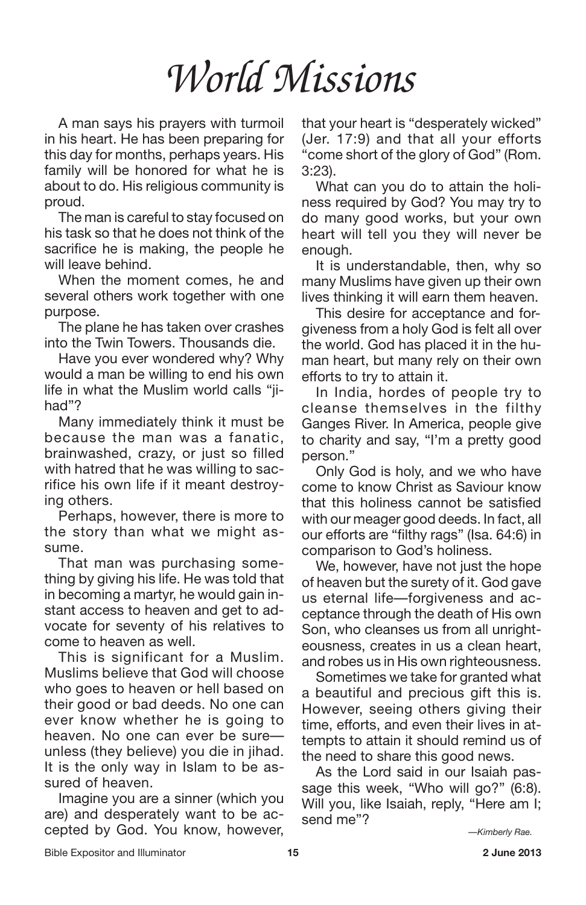A man says his prayers with turmoil in his heart. He has been preparing for this day for months, perhaps years. His family will be honored for what he is about to do. His religious community is proud.

The man is careful to stay focused on his task so that he does not think of the sacrifice he is making, the people he will leave behind.

When the moment comes, he and several others work together with one purpose.

The plane he has taken over crashes into the Twin Towers. Thousands die.

Have you ever wondered why? Why would a man be willing to end his own life in what the Muslim world calls "jihad"?

Many immediately think it must be because the man was a fanatic, brainwashed, crazy, or just so filled with hatred that he was willing to sacrifice his own life if it meant destroying others.

Perhaps, however, there is more to the story than what we might assume.

That man was purchasing something by giving his life. He was told that in becoming a martyr, he would gain instant access to heaven and get to advocate for seventy of his relatives to come to heaven as well.

This is significant for a Muslim. Muslims believe that God will choose who goes to heaven or hell based on their good or bad deeds. No one can ever know whether he is going to heaven. No one can ever be sure unless (they believe) you die in jihad. It is the only way in Islam to be assured of heaven.

Imagine you are a sinner (which you are) and desperately want to be accepted by God. You know, however, that your heart is "desperately wicked" (Jer. 17:9) and that all your efforts "come short of the glory of God" (Rom. 3:23).

What can you do to attain the holiness required by God? You may try to do many good works, but your own heart will tell you they will never be enough.

It is understandable, then, why so many Muslims have given up their own lives thinking it will earn them heaven.

This desire for acceptance and forgiveness from a holy God is felt all over the world. God has placed it in the human heart, but many rely on their own efforts to try to attain it.

In India, hordes of people try to cleanse themselves in the filthy Ganges River. In America, people give to charity and say, "I'm a pretty good person."

Only God is holy, and we who have come to know Christ as Saviour know that this holiness cannot be satisfied with our meager good deeds. In fact, all our efforts are "filthy rags" (Isa. 64:6) in comparison to God's holiness.

We, however, have not just the hope of heaven but the surety of it. God gave us eternal life—forgiveness and acceptance through the death of His own Son, who cleanses us from all unrighteousness, creates in us a clean heart, and robes us in His own righteousness.

Sometimes we take for granted what a beautiful and precious gift this is. However, seeing others giving their time, efforts, and even their lives in attempts to attain it should remind us of the need to share this good news.

As the Lord said in our Isaiah passage this week, "Who will go?" (6:8). Will you, like Isaiah, reply, "Here am I; send me"?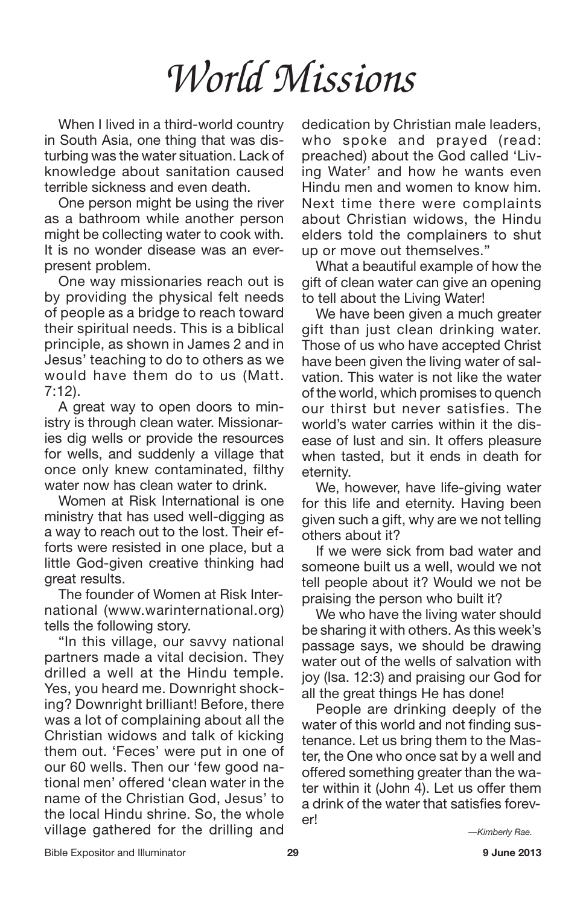When I lived in a third-world country in South Asia, one thing that was disturbing was the water situation. Lack of knowledge about sanitation caused terrible sickness and even death.

One person might be using the river as a bathroom while another person might be collecting water to cook with. It is no wonder disease was an everpresent problem.

One way missionaries reach out is by providing the physical felt needs of people as a bridge to reach toward their spiritual needs. This is a biblical principle, as shown in James 2 and in Jesus' teaching to do to others as we would have them do to us (Matt. 7:12).

A great way to open doors to ministry is through clean water. Missionaries dig wells or provide the resources for wells, and suddenly a village that once only knew contaminated, filthy water now has clean water to drink.

Women at Risk International is one ministry that has used well-digging as a way to reach out to the lost. Their efforts were resisted in one place, but a little God-given creative thinking had great results.

The founder of Women at Risk International (www.warinternational.org) tells the following story.

"In this village, our savvy national partners made a vital decision. They drilled a well at the Hindu temple. Yes, you heard me. Downright shocking? Downright brilliant! Before, there was a lot of complaining about all the Christian widows and talk of kicking them out. 'Feces' were put in one of our 60 wells. Then our 'few good national men' offered 'clean water in the name of the Christian God, Jesus' to the local Hindu shrine. So, the whole village gathered for the drilling and

dedication by Christian male leaders, who spoke and prayed (read: preached) about the God called 'Living Water' and how he wants even Hindu men and women to know him. Next time there were complaints about Christian widows, the Hindu elders told the complainers to shut up or move out themselves."

What a beautiful example of how the gift of clean water can give an opening to tell about the Living Water!

We have been given a much greater gift than just clean drinking water. Those of us who have accepted Christ have been given the living water of salvation. This water is not like the water of the world, which promises to quench our thirst but never satisfies. The world's water carries within it the disease of lust and sin. It offers pleasure when tasted, but it ends in death for eternity.

We, however, have life-giving water for this life and eternity. Having been given such a gift, why are we not telling others about it?

If we were sick from bad water and someone built us a well, would we not tell people about it? Would we not be praising the person who built it?

We who have the living water should be sharing it with others. As this week's passage says, we should be drawing water out of the wells of salvation with joy (Isa. 12:3) and praising our God for all the great things He has done!

People are drinking deeply of the water of this world and not finding sustenance. Let us bring them to the Master, the One who once sat by a well and offered something greater than the water within it (John 4). Let us offer them a drink of the water that satisfies forever!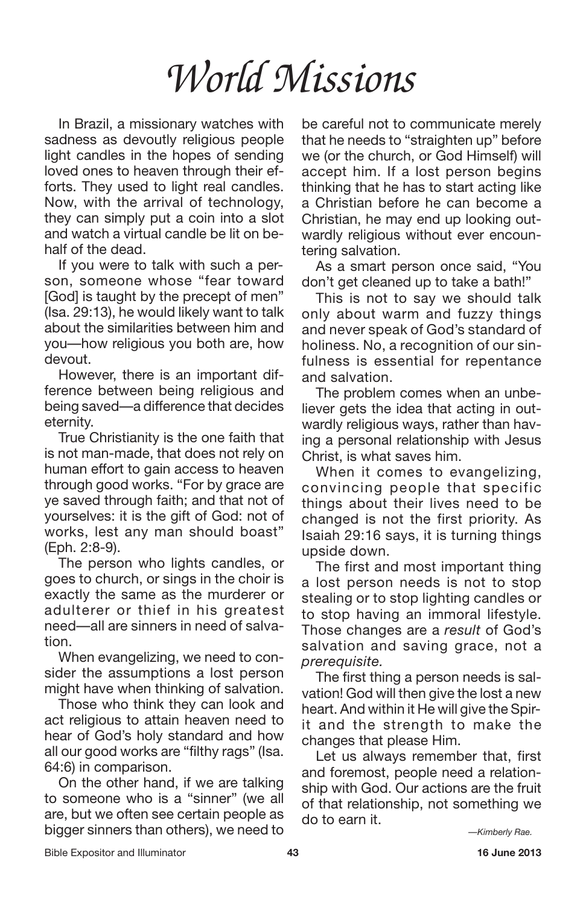In Brazil, a missionary watches with sadness as devoutly religious people light candles in the hopes of sending loved ones to heaven through their efforts. They used to light real candles. Now, with the arrival of technology, they can simply put a coin into a slot and watch a virtual candle be lit on behalf of the dead.

If you were to talk with such a person, someone whose "fear toward [God] is taught by the precept of men" (Isa. 29:13), he would likely want to talk about the similarities between him and you—how religious you both are, how devout.

However, there is an important difference between being religious and being saved—a difference that decides eternity.

True Christianity is the one faith that is not man-made, that does not rely on human effort to gain access to heaven through good works. "For by grace are ye saved through faith; and that not of yourselves: it is the gift of God: not of works, lest any man should boast" (Eph. 2:8-9).

The person who lights candles, or goes to church, or sings in the choir is exactly the same as the murderer or adulterer or thief in his greatest need—all are sinners in need of salvation.

When evangelizing, we need to consider the assumptions a lost person might have when thinking of salvation.

Those who think they can look and act religious to attain heaven need to hear of God's holy standard and how all our good works are "filthy rags" (Isa. 64:6) in comparison.

On the other hand, if we are talking to someone who is a "sinner" (we all are, but we often see certain people as bigger sinners than others), we need to be careful not to communicate merely that he needs to "straighten up" before we (or the church, or God Himself) will accept him. If a lost person begins thinking that he has to start acting like a Christian before he can become a Christian, he may end up looking outwardly religious without ever encountering salvation.

As a smart person once said, "You don't get cleaned up to take a bath!"

This is not to say we should talk only about warm and fuzzy things and never speak of God's standard of holiness. No, a recognition of our sinfulness is essential for repentance and salvation.

The problem comes when an unbeliever gets the idea that acting in outwardly religious ways, rather than having a personal relationship with Jesus Christ, is what saves him.

When it comes to evangelizing, convincing people that specific things about their lives need to be changed is not the first priority. As Isaiah 29:16 says, it is turning things upside down.

The first and most important thing a lost person needs is not to stop stealing or to stop lighting candles or to stop having an immoral lifestyle. Those changes are a *result* of God's salvation and saving grace, not a *prerequisite.*

The first thing a person needs is salvation! God will then give the lost a new heart. And within it He will give the Spirit and the strength to make the changes that please Him.

Let us always remember that, first and foremost, people need a relationship with God. Our actions are the fruit of that relationship, not something we do to earn it.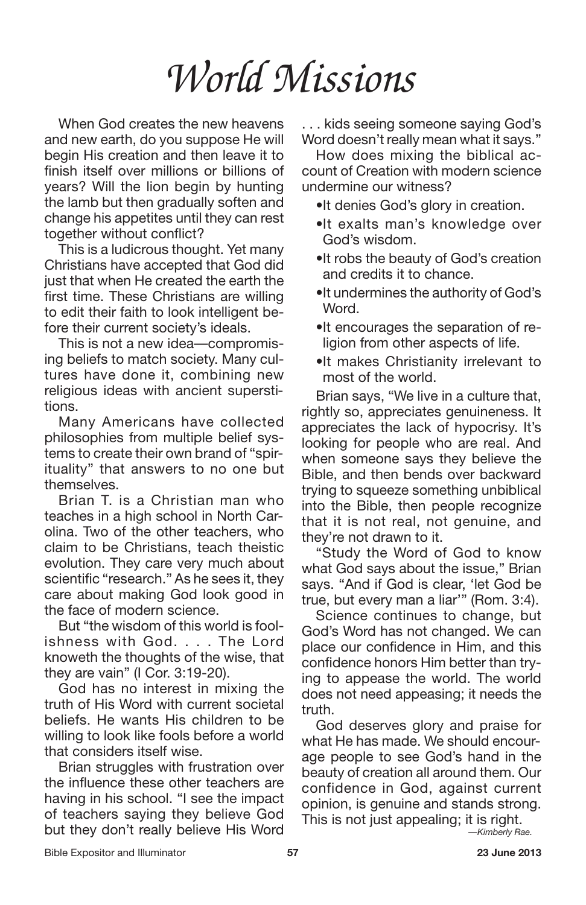When God creates the new heavens and new earth, do you suppose He will begin His creation and then leave it to finish itself over millions or billions of years? Will the lion begin by hunting the lamb but then gradually soften and change his appetites until they can rest together without conflict?

This is a ludicrous thought. Yet many Christians have accepted that God did just that when He created the earth the first time. These Christians are willing to edit their faith to look intelligent before their current society's ideals.

This is not a new idea—compromising beliefs to match society. Many cultures have done it, combining new religious ideas with ancient superstitions.

Many Americans have collected philosophies from multiple belief systems to create their own brand of "spirituality" that answers to no one but themselves.

Brian T. is a Christian man who teaches in a high school in North Carolina. Two of the other teachers, who claim to be Christians, teach theistic evolution. They care very much about scientific "research." As he sees it, they care about making God look good in the face of modern science.

But "the wisdom of this world is foolishness with God. . . . The Lord knoweth the thoughts of the wise, that they are vain" (I Cor. 3:19-20).

God has no interest in mixing the truth of His Word with current societal beliefs. He wants His children to be willing to look like fools before a world that considers itself wise.

Brian struggles with frustration over the influence these other teachers are having in his school. "I see the impact of teachers saying they believe God but they don't really believe His Word

. . . kids seeing someone saying God's Word doesn't really mean what it says."

How does mixing the biblical account of Creation with modern science undermine our witness?

- •It denies God's glory in creation.
- •It exalts man's knowledge over God's wisdom.
- •It robs the beauty of God's creation and credits it to chance.
- •It undermines the authority of God's **Word**
- •It encourages the separation of religion from other aspects of life.
- •It makes Christianity irrelevant to most of the world.

Brian says, "We live in a culture that, rightly so, appreciates genuineness. It appreciates the lack of hypocrisy. It's looking for people who are real. And when someone says they believe the Bible, and then bends over backward trying to squeeze something unbiblical into the Bible, then people recognize that it is not real, not genuine, and they're not drawn to it.

"Study the Word of God to know what God says about the issue," Brian says. "And if God is clear, 'let God be true, but every man a liar'" (Rom. 3:4).

Science continues to change, but God's Word has not changed. We can place our confidence in Him, and this confidence honors Him better than trying to appease the world. The world does not need appeasing; it needs the truth.

God deserves glory and praise for what He has made. We should encourage people to see God's hand in the beauty of creation all around them. Our confidence in God, against current opinion, is genuine and stands strong. This is not just appealing; it is right.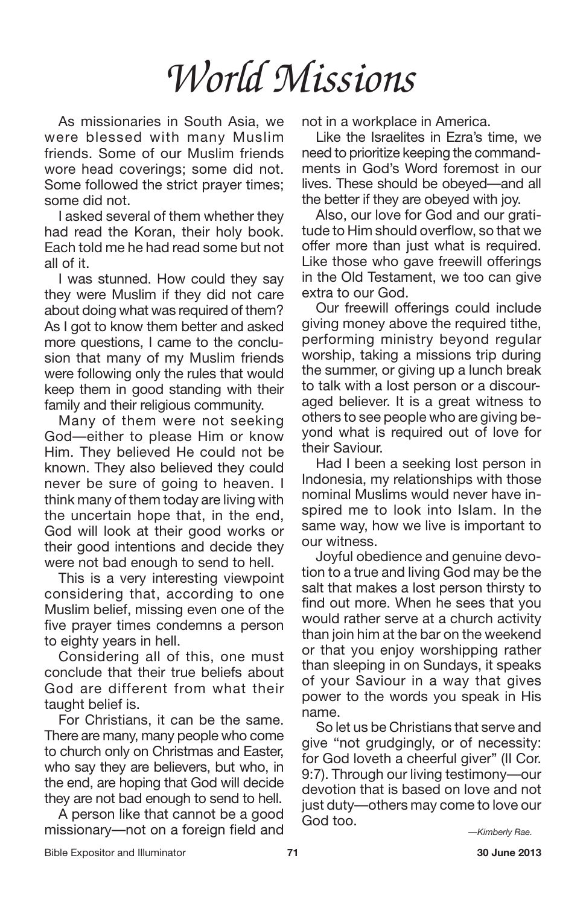As missionaries in South Asia, we were blessed with many Muslim friends. Some of our Muslim friends wore head coverings; some did not. Some followed the strict prayer times; some did not.

I asked several of them whether they had read the Koran, their holy book. Each told me he had read some but not all of it.

I was stunned. How could they say they were Muslim if they did not care about doing what was required of them? As I got to know them better and asked more questions, I came to the conclusion that many of my Muslim friends were following only the rules that would keep them in good standing with their family and their religious community.

Many of them were not seeking God—either to please Him or know Him. They believed He could not be known. They also believed they could never be sure of going to heaven. I think many of them today are living with the uncertain hope that, in the end, God will look at their good works or their good intentions and decide they were not bad enough to send to hell.

This is a very interesting viewpoint considering that, according to one Muslim belief, missing even one of the five prayer times condemns a person to eighty years in hell.

Considering all of this, one must conclude that their true beliefs about God are different from what their taught belief is.

For Christians, it can be the same. There are many, many people who come to church only on Christmas and Easter, who say they are believers, but who, in the end, are hoping that God will decide they are not bad enough to send to hell.

A person like that cannot be a good missionary—not on a foreign field and not in a workplace in America.

Like the Israelites in Ezra's time, we need to prioritize keeping the commandments in God's Word foremost in our lives. These should be obeyed—and all the better if they are obeyed with joy.

Also, our love for God and our gratitude to Him should overflow, so that we offer more than just what is required. Like those who gave freewill offerings in the Old Testament, we too can give extra to our God.

Our freewill offerings could include giving money above the required tithe, performing ministry beyond regular worship, taking a missions trip during the summer, or giving up a lunch break to talk with a lost person or a discouraged believer. It is a great witness to others to see people who are giving beyond what is required out of love for their Saviour.

Had I been a seeking lost person in Indonesia, my relationships with those nominal Muslims would never have inspired me to look into Islam. In the same way, how we live is important to our witness.

Joyful obedience and genuine devotion to a true and living God may be the salt that makes a lost person thirsty to find out more. When he sees that you would rather serve at a church activity than join him at the bar on the weekend or that you enjoy worshipping rather than sleeping in on Sundays, it speaks of your Saviour in a way that gives power to the words you speak in His name.

So let us be Christians that serve and give "not grudgingly, or of necessity: for God loveth a cheerful giver" (II Cor. 9:7). Through our living testimony—our devotion that is based on love and not just duty—others may come to love our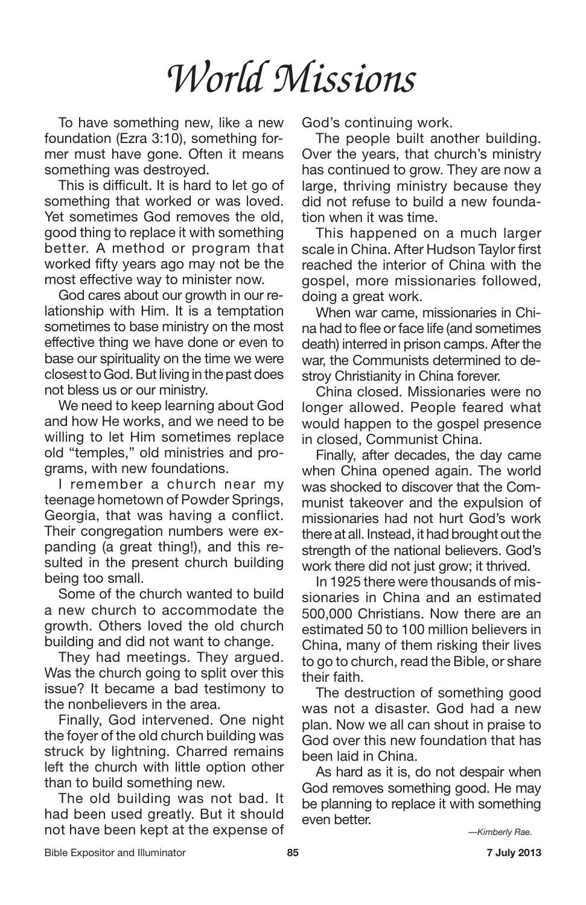To have something new, like a new foundation (Ezra 3:10), something former must have gone. Often it means something was destroyed.

This is difficult. It is hard to let go of something that worked or was loved. Yet sometimes God removes the old, good thing to replace it with something better. A method or program that worked fifty years ago may not be the most effective way to minister now.

God cares about our growth in our relationship with Him. It is a temptation sometimes to base ministry on the most effective thing we have done or even to base our spirituality on the time we were closest to God. But living in the past does not bless us or our ministry.

We need to keep learning about God and how He works, and we need to be willing to let Him sometimes replace old "temples," old ministries and programs, with new foundations.

I remember a church near my teenage hometown of Powder Springs, Georgia, that was having a conflict. Their congregation numbers were expanding (a great thing!), and this resulted in the present church building being too small.

Some of the church wanted to build a new church to accommodate the growth. Others loved the old church building and did not want to change.

They had meetings. They argued. Was the church going to split over this issue? It became a bad testimony to the nonbelievers in the area.

Finally, God intervened. One night the foyer of the old church building was struck by lightning. Charred remains left the church with little option other than to build something new.

The old building was not bad. It had been used greatly. But it should not have been kept at the expense of God's continuing work.

The people built another building. Over the years, that church's ministry has continued to grow. They are now a large, thriving ministry because they did not refuse to build a new foundation when it was time.

This happened on a much larger scale in China. After Hudson Taylor first reached the interior of China with the gospel, more missionaries followed, doing a great work.

When war came, missionaries in China had to flee or face life (and sometimes death) interred in prison camps. After the war, the Communists determined to destroy Christianity in China forever.

China closed. Missionaries were no longer allowed. People feared what would happen to the gospel presence in closed, Communist China.

Finally, after decades, the day came when China opened again. The world was shocked to discover that the Communist takeover and the expulsion of missionaries had not hurt God's work there at all. Instead, it had brought out the strength of the national believers. God's work there did not just grow; it thrived.

In 1925 there were thousands of missionaries in China and an estimated 500,000 Christians. Now there are an estimated 50 to 100 million believers in China, many of them risking their lives to go to church, read the Bible, or share their faith.

The destruction of something good was not a disaster. God had a new plan. Now we all can shout in praise to God over this new foundation that has been laid in China.

As hard as it is, do not despair when God removes something good. He may be planning to replace it with something even better.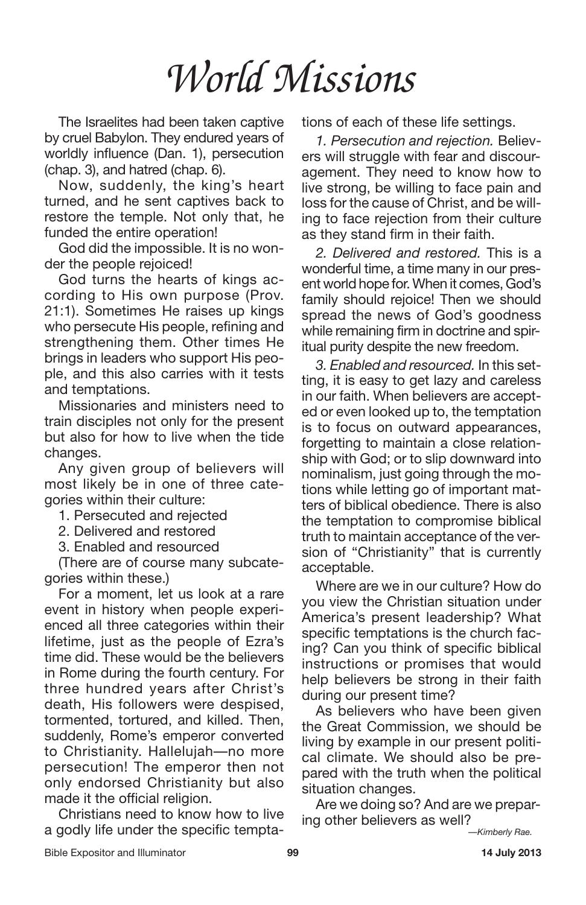The Israelites had been taken captive by cruel Babylon. They endured years of worldly influence (Dan. 1), persecution (chap. 3), and hatred (chap. 6).

Now, suddenly, the king's heart turned, and he sent captives back to restore the temple. Not only that, he funded the entire operation!

God did the impossible. It is no wonder the people rejoiced!

God turns the hearts of kings according to His own purpose (Prov. 21:1). Sometimes He raises up kings who persecute His people, refining and strengthening them. Other times He brings in leaders who support His people, and this also carries with it tests and temptations.

Missionaries and ministers need to train disciples not only for the present but also for how to live when the tide changes.

Any given group of believers will most likely be in one of three categories within their culture:

1. Persecuted and rejected

2. Delivered and restored

3. Enabled and resourced

(There are of course many subcategories within these.)

For a moment, let us look at a rare event in history when people experienced all three categories within their lifetime, just as the people of Ezra's time did. These would be the believers in Rome during the fourth century. For three hundred years after Christ's death, His followers were despised, tormented, tortured, and killed. Then, suddenly, Rome's emperor converted to Christianity. Hallelujah—no more persecution! The emperor then not only endorsed Christianity but also made it the official religion.

Christians need to know how to live a godly life under the specific temptations of each of these life settings.

*1. Persecution and rejection.* Believers will struggle with fear and discouragement. They need to know how to live strong, be willing to face pain and loss for the cause of Christ, and be willing to face rejection from their culture as they stand firm in their faith.

*2. Delivered and restored.* This is a wonderful time, a time many in our present world hope for. When it comes, God's family should rejoice! Then we should spread the news of God's goodness while remaining firm in doctrine and spiritual purity despite the new freedom.

*3. Enabled and resourced.* In this setting, it is easy to get lazy and careless in our faith. When believers are accepted or even looked up to, the temptation is to focus on outward appearances, forgetting to maintain a close relationship with God; or to slip downward into nominalism, just going through the motions while letting go of important matters of biblical obedience. There is also the temptation to compromise biblical truth to maintain acceptance of the version of "Christianity" that is currently acceptable.

Where are we in our culture? How do you view the Christian situation under America's present leadership? What specific temptations is the church facing? Can you think of specific biblical instructions or promises that would help believers be strong in their faith during our present time?

As believers who have been given the Great Commission, we should be living by example in our present political climate. We should also be prepared with the truth when the political situation changes.

Are we doing so? And are we preparing other believers as well?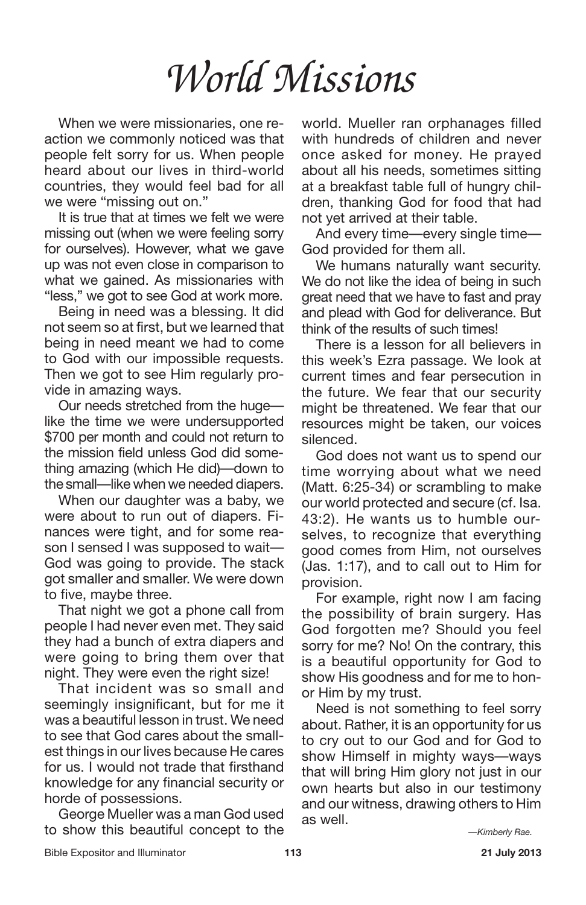When we were missionaries, one reaction we commonly noticed was that people felt sorry for us. When people heard about our lives in third-world countries, they would feel bad for all we were "missing out on."

It is true that at times we felt we were missing out (when we were feeling sorry for ourselves). However, what we gave up was not even close in comparison to what we gained. As missionaries with "less," we got to see God at work more.

Being in need was a blessing. It did not seem so at first, but we learned that being in need meant we had to come to God with our impossible requests. Then we got to see Him regularly provide in amazing ways.

Our needs stretched from the huge like the time we were undersupported \$700 per month and could not return to the mission field unless God did something amazing (which He did)—down to the small—like when we needed diapers.

When our daughter was a baby, we were about to run out of diapers. Finances were tight, and for some reason I sensed I was supposed to wait— God was going to provide. The stack got smaller and smaller. We were down to five, maybe three.

That night we got a phone call from people I had never even met. They said they had a bunch of extra diapers and were going to bring them over that night. They were even the right size!

That incident was so small and seemingly insignificant, but for me it was a beautiful lesson in trust. We need to see that God cares about the smallest things in our lives because He cares for us. I would not trade that firsthand knowledge for any financial security or horde of possessions.

George Mueller was a man God used to show this beautiful concept to the world. Mueller ran orphanages filled with hundreds of children and never once asked for money. He prayed about all his needs, sometimes sitting at a breakfast table full of hungry children, thanking God for food that had not yet arrived at their table.

And every time—every single time— God provided for them all.

We humans naturally want security. We do not like the idea of being in such great need that we have to fast and pray and plead with God for deliverance. But think of the results of such times!

There is a lesson for all believers in this week's Ezra passage. We look at current times and fear persecution in the future. We fear that our security might be threatened. We fear that our resources might be taken, our voices silenced.

God does not want us to spend our time worrying about what we need (Matt. 6:25-34) or scrambling to make our world protected and secure (cf. Isa. 43:2). He wants us to humble ourselves, to recognize that everything good comes from Him, not ourselves (Jas. 1:17), and to call out to Him for provision.

For example, right now I am facing the possibility of brain surgery. Has God forgotten me? Should you feel sorry for me? No! On the contrary, this is a beautiful opportunity for God to show His goodness and for me to honor Him by my trust.

Need is not something to feel sorry about. Rather, it is an opportunity for us to cry out to our God and for God to show Himself in mighty ways—ways that will bring Him glory not just in our own hearts but also in our testimony and our witness, drawing others to Him as well.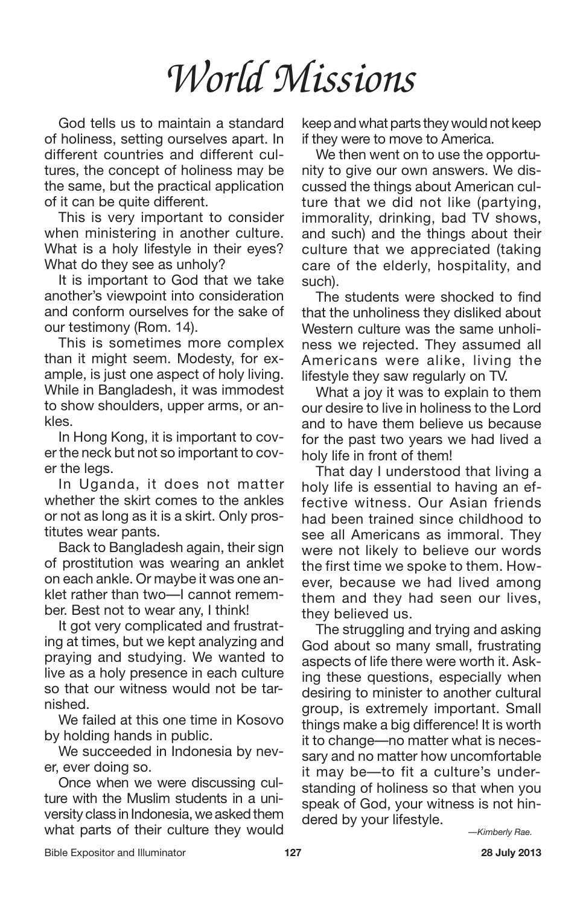God tells us to maintain a standard of holiness, setting ourselves apart. In different countries and different cultures, the concept of holiness may be the same, but the practical application of it can be quite different.

This is very important to consider when ministering in another culture. What is a holy lifestyle in their eyes? What do they see as unholy?

It is important to God that we take another's viewpoint into consideration and conform ourselves for the sake of our testimony (Rom. 14).

This is sometimes more complex than it might seem. Modesty, for example, is just one aspect of holy living. While in Bangladesh, it was immodest to show shoulders, upper arms, or ankles.

In Hong Kong, it is important to cover the neck but not so important to cover the legs.

In Uganda, it does not matter whether the skirt comes to the ankles or not as long as it is a skirt. Only prostitutes wear pants.

Back to Bangladesh again, their sign of prostitution was wearing an anklet on each ankle. Or maybe it was one anklet rather than two—I cannot remember. Best not to wear any, I think!

It got very complicated and frustrating at times, but we kept analyzing and praying and studying. We wanted to live as a holy presence in each culture so that our witness would not be tarnished.

We failed at this one time in Kosovo by holding hands in public.

We succeeded in Indonesia by never, ever doing so.

Once when we were discussing culture with the Muslim students in a university class in Indonesia, we asked them what parts of their culture they would keep and what parts they would not keep if they were to move to America.

We then went on to use the opportunity to give our own answers. We discussed the things about American culture that we did not like (partying, immorality, drinking, bad TV shows, and such) and the things about their culture that we appreciated (taking care of the elderly, hospitality, and such).

The students were shocked to find that the unholiness they disliked about Western culture was the same unholiness we rejected. They assumed all Americans were alike, living the lifestyle they saw regularly on TV.

What a joy it was to explain to them our desire to live in holiness to the Lord and to have them believe us because for the past two years we had lived a holy life in front of them!

That day I understood that living a holy life is essential to having an effective witness. Our Asian friends had been trained since childhood to see all Americans as immoral. They were not likely to believe our words the first time we spoke to them. However, because we had lived among them and they had seen our lives, they believed us.

The struggling and trying and asking God about so many small, frustrating aspects of life there were worth it. Asking these questions, especially when desiring to minister to another cultural group, is extremely important. Small things make a big difference! It is worth it to change—no matter what is necessary and no matter how uncomfortable it may be—to fit a culture's understanding of holiness so that when you speak of God, your witness is not hindered by your lifestyle.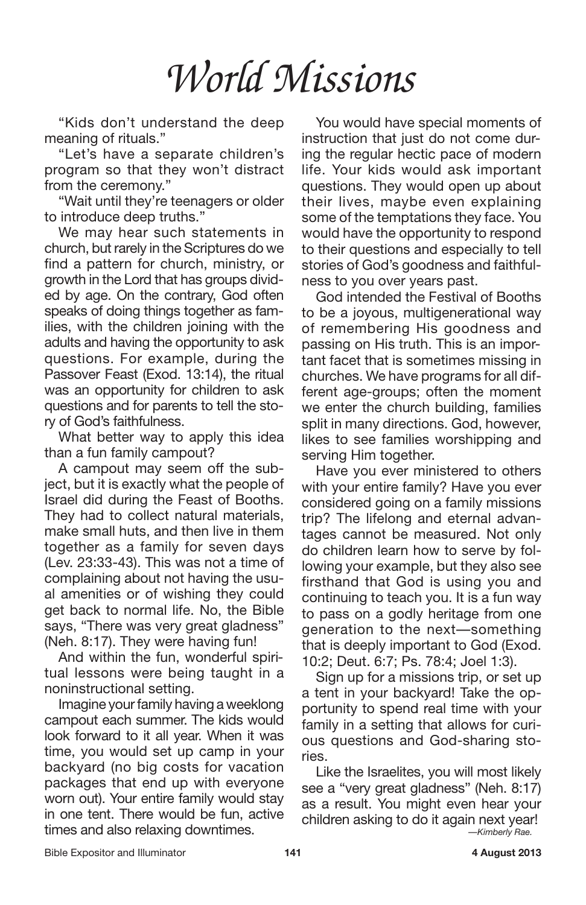"Kids don't understand the deep meaning of rituals."

"Let's have a separate children's program so that they won't distract from the ceremony."

"Wait until they're teenagers or older to introduce deep truths."

We may hear such statements in church, but rarely in the Scriptures do we find a pattern for church, ministry, or growth in the Lord that has groups divided by age. On the contrary, God often speaks of doing things together as families, with the children joining with the adults and having the opportunity to ask questions. For example, during the Passover Feast (Exod. 13:14), the ritual was an opportunity for children to ask questions and for parents to tell the story of God's faithfulness.

What better way to apply this idea than a fun family campout?

A campout may seem off the subject, but it is exactly what the people of Israel did during the Feast of Booths. They had to collect natural materials, make small huts, and then live in them together as a family for seven days (Lev. 23:33-43). This was not a time of complaining about not having the usual amenities or of wishing they could get back to normal life. No, the Bible says, "There was very great gladness" (Neh. 8:17). They were having fun!

And within the fun, wonderful spiritual lessons were being taught in a noninstructional setting.

Imagine your family having a weeklong campout each summer. The kids would look forward to it all year. When it was time, you would set up camp in your backyard (no big costs for vacation packages that end up with everyone worn out). Your entire family would stay in one tent. There would be fun, active times and also relaxing downtimes.

You would have special moments of instruction that just do not come during the regular hectic pace of modern life. Your kids would ask important questions. They would open up about their lives, maybe even explaining some of the temptations they face. You would have the opportunity to respond to their questions and especially to tell stories of God's goodness and faithfulness to you over years past.

God intended the Festival of Booths to be a joyous, multigenerational way of remembering His goodness and passing on His truth. This is an important facet that is sometimes missing in churches. We have programs for all different age-groups; often the moment we enter the church building, families split in many directions. God, however, likes to see families worshipping and serving Him together.

Have you ever ministered to others with your entire family? Have you ever considered going on a family missions trip? The lifelong and eternal advantages cannot be measured. Not only do children learn how to serve by following your example, but they also see firsthand that God is using you and continuing to teach you. It is a fun way to pass on a godly heritage from one generation to the next—something that is deeply important to God (Exod. 10:2; Deut. 6:7; Ps. 78:4; Joel 1:3).

Sign up for a missions trip, or set up a tent in your backyard! Take the opportunity to spend real time with your family in a setting that allows for curious questions and God-sharing stories.

Like the Israelites, you will most likely see a "very great gladness" (Neh. 8:17) as a result. You might even hear your children asking to do it again next year! *—Kimberly Rae.*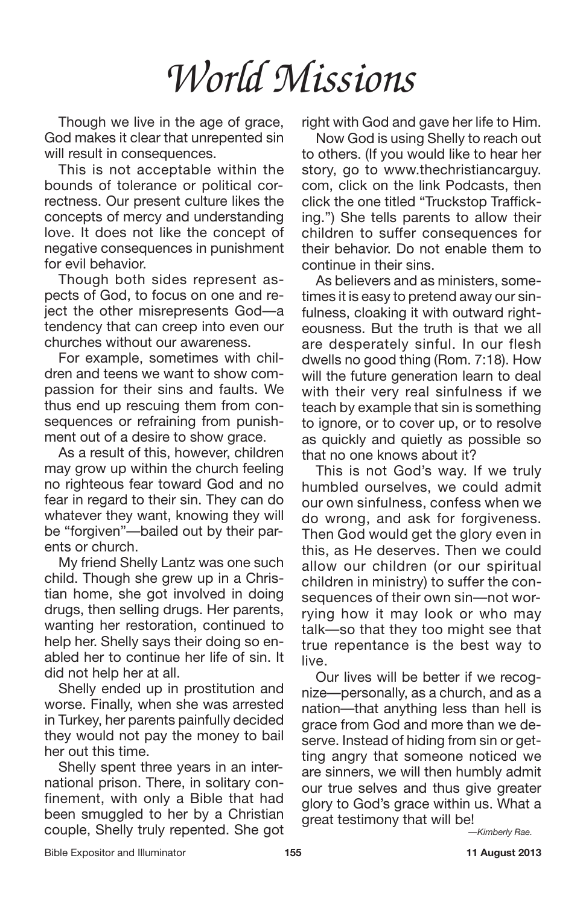Though we live in the age of grace, God makes it clear that unrepented sin will result in consequences.

This is not acceptable within the bounds of tolerance or political correctness. Our present culture likes the concepts of mercy and understanding love. It does not like the concept of negative consequences in punishment for evil behavior.

Though both sides represent aspects of God, to focus on one and reject the other misrepresents God—a tendency that can creep into even our churches without our awareness.

For example, sometimes with children and teens we want to show compassion for their sins and faults. We thus end up rescuing them from consequences or refraining from punishment out of a desire to show grace.

As a result of this, however, children may grow up within the church feeling no righteous fear toward God and no fear in regard to their sin. They can do whatever they want, knowing they will be "forgiven"—bailed out by their parents or church.

My friend Shelly Lantz was one such child. Though she grew up in a Christian home, she got involved in doing drugs, then selling drugs. Her parents, wanting her restoration, continued to help her. Shelly says their doing so enabled her to continue her life of sin. It did not help her at all.

Shelly ended up in prostitution and worse. Finally, when she was arrested in Turkey, her parents painfully decided they would not pay the money to bail her out this time.

Shelly spent three years in an international prison. There, in solitary confinement, with only a Bible that had been smuggled to her by a Christian couple, Shelly truly repented. She got

right with God and gave her life to Him.

Now God is using Shelly to reach out to others. (If you would like to hear her story, go to www.thechristiancarguy. com, click on the link Podcasts, then click the one titled "Truckstop Trafficking.") She tells parents to allow their children to suffer consequences for their behavior. Do not enable them to continue in their sins.

As believers and as ministers, sometimes it is easy to pretend away our sinfulness, cloaking it with outward righteousness. But the truth is that we all are desperately sinful. In our flesh dwells no good thing (Rom. 7:18). How will the future generation learn to deal with their very real sinfulness if we teach by example that sin is something to ignore, or to cover up, or to resolve as quickly and quietly as possible so that no one knows about it?

This is not God's way. If we truly humbled ourselves, we could admit our own sinfulness, confess when we do wrong, and ask for forgiveness. Then God would get the glory even in this, as He deserves. Then we could allow our children (or our spiritual children in ministry) to suffer the consequences of their own sin—not worrying how it may look or who may talk—so that they too might see that true repentance is the best way to live.

Our lives will be better if we recognize—personally, as a church, and as a nation—that anything less than hell is grace from God and more than we deserve. Instead of hiding from sin or getting angry that someone noticed we are sinners, we will then humbly admit our true selves and thus give greater glory to God's grace within us. What a great testimony that will be! *—Kimberly Rae.*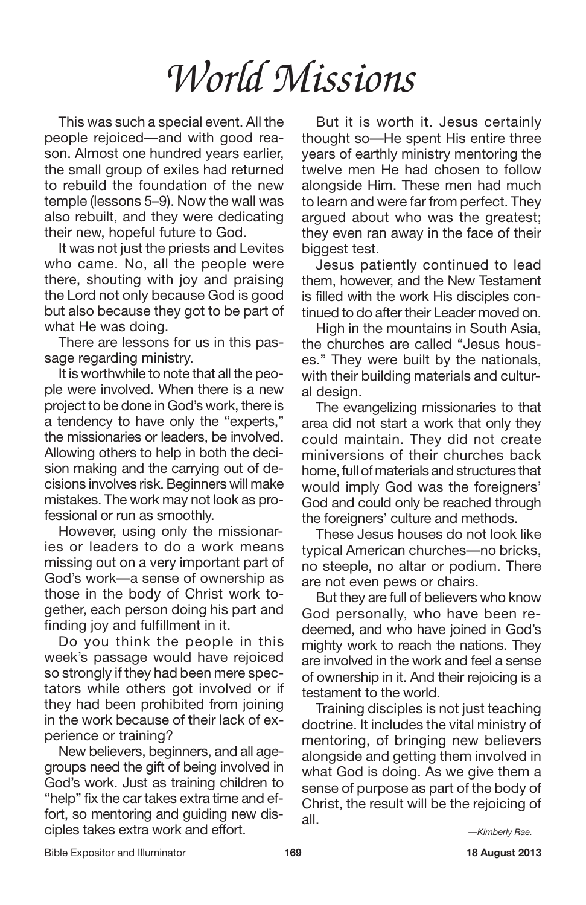This was such a special event. All the people rejoiced—and with good reason. Almost one hundred years earlier, the small group of exiles had returned to rebuild the foundation of the new temple (lessons 5–9). Now the wall was also rebuilt, and they were dedicating their new, hopeful future to God.

It was not just the priests and Levites who came. No, all the people were there, shouting with joy and praising the Lord not only because God is good but also because they got to be part of what He was doing.

There are lessons for us in this passage regarding ministry.

It is worthwhile to note that all the people were involved. When there is a new project to be done in God's work, there is a tendency to have only the "experts," the missionaries or leaders, be involved. Allowing others to help in both the decision making and the carrying out of decisions involves risk.Beginners will make mistakes. The work may not look as professional or run as smoothly.

However, using only the missionaries or leaders to do a work means missing out on a very important part of God's work—a sense of ownership as those in the body of Christ work together, each person doing his part and finding joy and fulfillment in it.

Do you think the people in this week's passage would have rejoiced so strongly if they had been mere spectators while others got involved or if they had been prohibited from joining in the work because of their lack of experience or training?

New believers, beginners, and all agegroups need the gift of being involved in God's work. Just as training children to "help" fix the car takes extra time and effort, so mentoring and guiding new disciples takes extra work and effort.

But it is worth it. Jesus certainly thought so—He spent His entire three years of earthly ministry mentoring the twelve men He had chosen to follow alongside Him. These men had much to learn and were far from perfect. They argued about who was the greatest; they even ran away in the face of their biggest test.

Jesus patiently continued to lead them, however, and the New Testament is filled with the work His disciples continued to do after their Leader moved on.

High in the mountains in South Asia, the churches are called "Jesus houses." They were built by the nationals, with their building materials and cultural design.

The evangelizing missionaries to that area did not start a work that only they could maintain. They did not create miniversions of their churches back home, full of materials and structures that would imply God was the foreigners' God and could only be reached through the foreigners' culture and methods.

These Jesus houses do not look like typical American churches—no bricks, no steeple, no altar or podium. There are not even pews or chairs.

But they are full of believers who know God personally, who have been redeemed, and who have joined in God's mighty work to reach the nations. They are involved in the work and feel a sense of ownership in it. And their rejoicing is a testament to the world.

Training disciples is not just teaching doctrine. It includes the vital ministry of mentoring, of bringing new believers alongside and getting them involved in what God is doing. As we give them a sense of purpose as part of the body of Christ, the result will be the rejoicing of all.